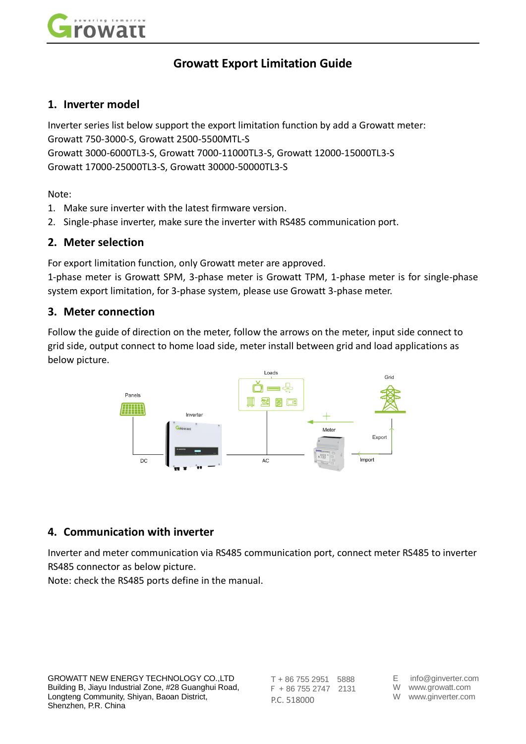

# **Growatt Export Limitation Guide**

### **1. Inverter model**

Inverter series list below support the export limitation function by add a Growatt meter: Growatt 750-3000-S, Growatt 2500-5500MTL-S Growatt 3000-6000TL3-S, Growatt 7000-11000TL3-S, Growatt 12000-15000TL3-S Growatt 17000-25000TL3-S, Growatt 30000-50000TL3-S

Note:

- 1. Make sure inverter with the latest firmware version.
- 2. Single-phase inverter, make sure the inverter with RS485 communication port.

#### **2. Meter selection**

For export limitation function, only Growatt meter are approved.

1-phase meter is Growatt SPM, 3-phase meter is Growatt TPM, 1-phase meter is for single-phase system export limitation, for 3-phase system, please use Growatt 3-phase meter.

#### **3. Meter connection**

Follow the guide of direction on the meter, follow the arrows on the meter, input side connect to grid side, output connect to home load side, meter install between grid and load applications as below picture.



### **4. Communication with inverter**

Inverter and meter communication via RS485 communication port, connect meter RS485 to inverter RS485 connector as below picture.

Note: check the RS485 ports define in the manual.

T + 86 755 2951 5888 F + 86 755 2747 2131 P.C. 518000

- E info@ginverter.com W www.growatt.com
- W www.ginverter.com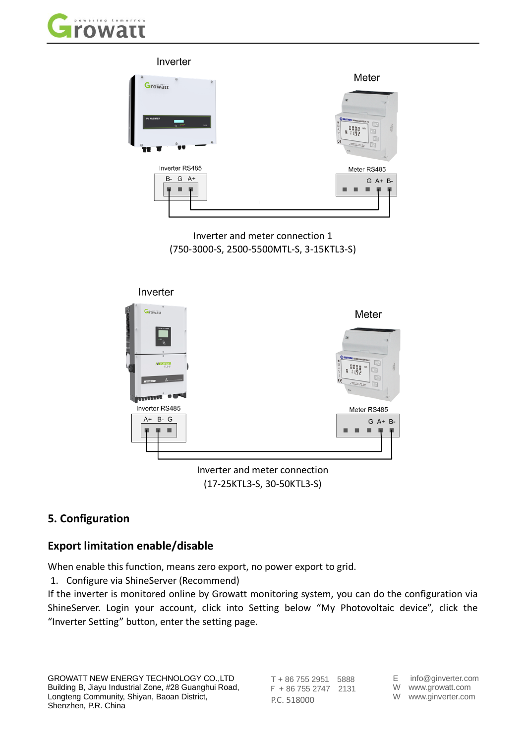



Inverter and meter connection 1 (750-3000-S, 2500-5500MTL-S, 3-15KTL3-S)



Inverter and meter connection (17-25KTL3-S, 30-50KTL3-S)

## **5. Configuration**

## **Export limitation enable/disable**

When enable this function, means zero export, no power export to grid.

1. Configure via ShineServer (Recommend)

If the inverter is monitored online by Growatt monitoring system, you can do the configuration via ShineServer. Login your account, click into Setting below "My Photovoltaic device", click the "Inverter Setting" button, enter the setting page.

T + 86 755 2951 5888 F + 86 755 2747 2131 P.C. 518000

E info@ginverter.com

W www.growatt.com

W www.ginverter.com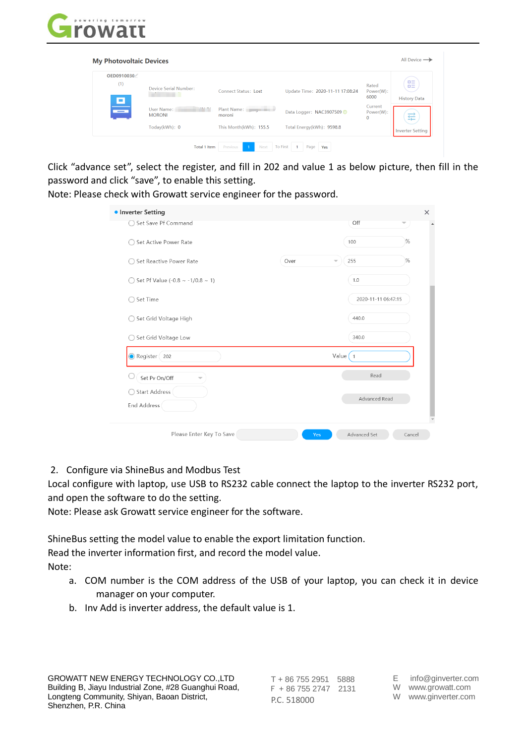

| OED0910030 |                                                |                        |                                  |                                     |                                                       |
|------------|------------------------------------------------|------------------------|----------------------------------|-------------------------------------|-------------------------------------------------------|
| (1)<br>о   | Device Serial Number:                          | Connect Status: Lost   | Update Time: 2020-11-11 17:08:24 | Rated<br>Power(W):<br>6000          | $\Box \equiv$<br>$\Box \equiv$<br><b>History Data</b> |
| ÷          | <b>CALL PLA</b><br>User Name:<br><b>MORONI</b> | Plant Name:<br>moroni  | Data Logger: NAC3907509 0        | Current<br>Power(W):<br>$\mathbf 0$ | 珪                                                     |
|            | Today(kWh): 0                                  | This Month(kWh): 155.5 | Total Energy(kWh): 9598.8        |                                     | <b>Inverter Setting</b>                               |

Click "advance set", select the register, and fill in 202 and value 1 as below picture, then fill in the password and click "save", to enable this setting.

Note: Please check with Growatt service engineer for the password.

| <b>• Inverter Setting</b>                 |      |                                         | $\times$ |
|-------------------------------------------|------|-----------------------------------------|----------|
| ○ Set Save Pf Command                     |      | Off<br>$\overline{\phantom{a}}$         |          |
| Set Active Power Rate                     |      | 100                                     | %        |
| Set Reactive Power Rate                   | Over | 255                                     | %        |
| ◯ Set Pf Value (-0.8 ~ -1/0.8 ~ 1)        |      | 1.0                                     |          |
| Set Time                                  |      | 2020-11-11 06:47:15                     |          |
| Set Grid Voltage High                     |      | 440.0                                   |          |
| ◯ Set Grid Voltage Low                    |      | 340.0                                   |          |
| Register 202                              |      | Value $\begin{pmatrix} 1 \end{pmatrix}$ |          |
| Set Pv On/Off<br>$\overline{\phantom{a}}$ |      | Read                                    |          |
| ◯ Start Address<br><b>End Address</b>     |      | Advanced Read                           |          |
| Please Enter Key To Save                  | Yes  | Advanced Set                            | Cancel   |

2. Configure via ShineBus and Modbus Test

Local configure with laptop, use USB to RS232 cable connect the laptop to the inverter RS232 port, and open the software to do the setting.

Note: Please ask Growatt service engineer for the software.

ShineBus setting the model value to enable the export limitation function.

Read the inverter information first, and record the model value.

Note:

- a. COM number is the COM address of the USB of your laptop, you can check it in device manager on your computer.
- b. Inv Add is inverter address, the default value is 1.

T + 86 755 2951 5888 F + 86 755 2747 2131 P.C. 518000

- E info@ginverter.com W www.growatt.com
- W www.ginverter.com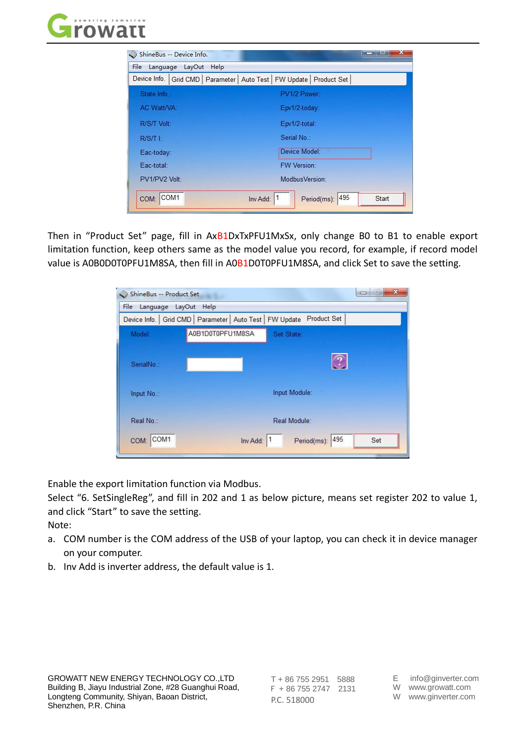

| Device Info.   Grid CMD   Parameter   Auto Test   FW Update   Product Set<br>State Info.:<br>PV1/2 Power:<br>AC Watt/VA:<br>Epv1/2-today:<br>R/S/T Volt:<br>Epv1/2-total:<br>Serial No.:<br>$R/ST$ $\pm$<br>Device Model:<br>Eac-today:<br>Eac-total:<br><b>FW Version:</b><br>ModbusVersion:<br>PV1/PV2 Volt: | File Language LayOut<br>Help |  |
|----------------------------------------------------------------------------------------------------------------------------------------------------------------------------------------------------------------------------------------------------------------------------------------------------------------|------------------------------|--|
|                                                                                                                                                                                                                                                                                                                |                              |  |
|                                                                                                                                                                                                                                                                                                                |                              |  |
|                                                                                                                                                                                                                                                                                                                |                              |  |
|                                                                                                                                                                                                                                                                                                                |                              |  |
|                                                                                                                                                                                                                                                                                                                |                              |  |
|                                                                                                                                                                                                                                                                                                                |                              |  |
|                                                                                                                                                                                                                                                                                                                |                              |  |
|                                                                                                                                                                                                                                                                                                                |                              |  |

Then in "Product Set" page, fill in AxB1DxTxPFU1MxSx, only change B0 to B1 to enable export limitation function, keep others same as the model value you record, for example, if record model value is A0B0D0T0PFU1M8SA, then fill in A0B1D0T0PFU1M8SA, and click Set to save the setting.

| ShineBus -- Product Set  |                                                                         |               |                 | <b>Delanded</b> | $\mathbf{x}$ |
|--------------------------|-------------------------------------------------------------------------|---------------|-----------------|-----------------|--------------|
| Language LayOut<br>File  | Help                                                                    |               |                 |                 |              |
|                          | Device Info.   Grid CMD   Parameter   Auto Test   FW Update Product Set |               |                 |                 |              |
| Model:                   | A0B1D0T0PFU1M8SA                                                        | Set State:    |                 |                 |              |
| SerialNo.:               |                                                                         |               |                 |                 |              |
| Input No.:               |                                                                         | Input Module: |                 |                 |              |
| Real No.:                |                                                                         | Real Module:  |                 |                 |              |
| COM <sub>1</sub><br>COM: | Inv Add:                                                                | 11            | Period(ms): 495 | Set             |              |

Enable the export limitation function via Modbus.

Select "6. SetSingleReg", and fill in 202 and 1 as below picture, means set register 202 to value 1, and click "Start" to save the setting.

Note:

- a. COM number is the COM address of the USB of your laptop, you can check it in device manager on your computer.
- b. Inv Add is inverter address, the default value is 1.

T + 86 755 2951 5888 F + 86 755 2747 2131 P.C. 518000

- E info@ginverter.com W www.growatt.com
- W www.ginverter.com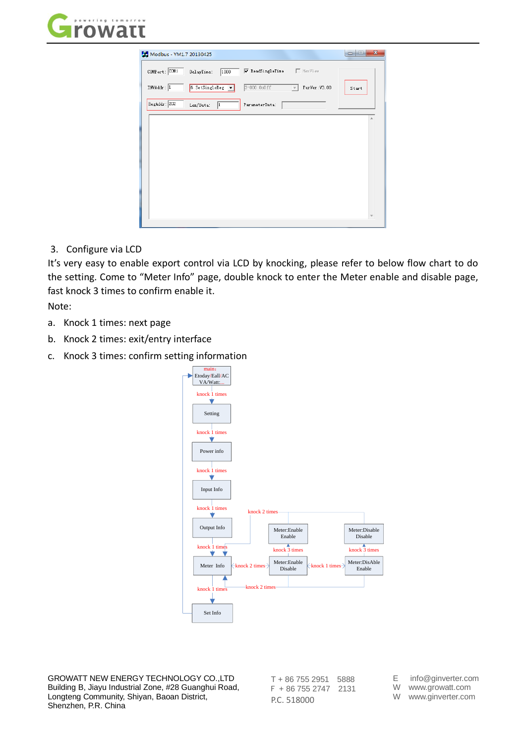



3. Configure via LCD

It's very easy to enable export control via LCD by knocking, please refer to below flow chart to do the setting. Come to "Meter Info" page, double knock to enter the Meter enable and disable page, fast knock 3 times to confirm enable it.

Note:

- a. Knock 1 times: next page
- b. Knock 2 times: exit/entry interface
- c. Knock 3 times: confirm setting information



GROWATT NEW ENERGY TECHNOLOGY CO.,LTD Building B, Jiayu Industrial Zone, #28 Guanghui Road, Longteng Community, Shiyan, Baoan District, Shenzhen, P.R. China

T + 86 755 2951 5888 F + 86 755 2747 2131 P.C. 518000

E info@ginverter.com

W www.growatt.com

W www.ginverter.com